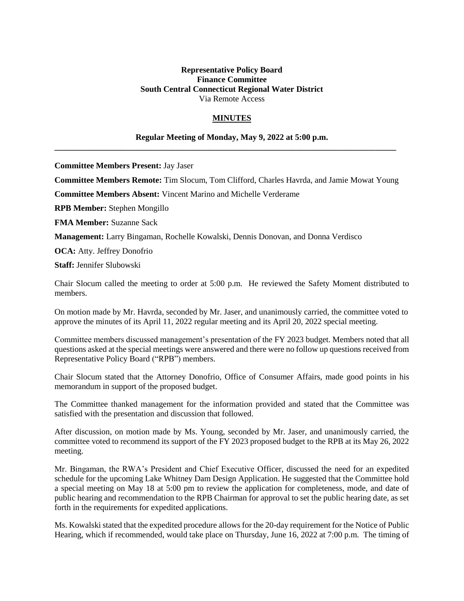## **Representative Policy Board Finance Committee South Central Connecticut Regional Water District** Via Remote Access

## **MINUTES**

## **Regular Meeting of Monday, May 9, 2022 at 5:00 p.m.**

**\_\_\_\_\_\_\_\_\_\_\_\_\_\_\_\_\_\_\_\_\_\_\_\_\_\_\_\_\_\_\_\_\_\_\_\_\_\_\_\_\_\_\_\_\_\_\_\_\_\_\_\_\_\_\_\_\_\_\_\_\_\_\_\_\_\_\_\_\_\_\_\_\_\_\_\_\_\_\_\_\_\_**

**Committee Members Present:** Jay Jaser

**Committee Members Remote:** Tim Slocum, Tom Clifford, Charles Havrda, and Jamie Mowat Young

**Committee Members Absent:** Vincent Marino and Michelle Verderame

**RPB Member:** Stephen Mongillo

**FMA Member:** Suzanne Sack

**Management:** Larry Bingaman, Rochelle Kowalski, Dennis Donovan, and Donna Verdisco

**OCA:** Atty. Jeffrey Donofrio

**Staff:** Jennifer Slubowski

Chair Slocum called the meeting to order at 5:00 p.m. He reviewed the Safety Moment distributed to members.

On motion made by Mr. Havrda, seconded by Mr. Jaser, and unanimously carried, the committee voted to approve the minutes of its April 11, 2022 regular meeting and its April 20, 2022 special meeting.

Committee members discussed management's presentation of the FY 2023 budget. Members noted that all questions asked at the special meetings were answered and there were no follow up questions received from Representative Policy Board ("RPB") members.

Chair Slocum stated that the Attorney Donofrio, Office of Consumer Affairs, made good points in his memorandum in support of the proposed budget.

The Committee thanked management for the information provided and stated that the Committee was satisfied with the presentation and discussion that followed.

After discussion, on motion made by Ms. Young, seconded by Mr. Jaser, and unanimously carried, the committee voted to recommend its support of the FY 2023 proposed budget to the RPB at its May 26, 2022 meeting.

Mr. Bingaman, the RWA's President and Chief Executive Officer, discussed the need for an expedited schedule for the upcoming Lake Whitney Dam Design Application. He suggested that the Committee hold a special meeting on May 18 at 5:00 pm to review the application for completeness, mode, and date of public hearing and recommendation to the RPB Chairman for approval to set the public hearing date, as set forth in the requirements for expedited applications.

Ms. Kowalski stated that the expedited procedure allows for the 20-day requirement for the Notice of Public Hearing, which if recommended, would take place on Thursday, June 16, 2022 at 7:00 p.m. The timing of